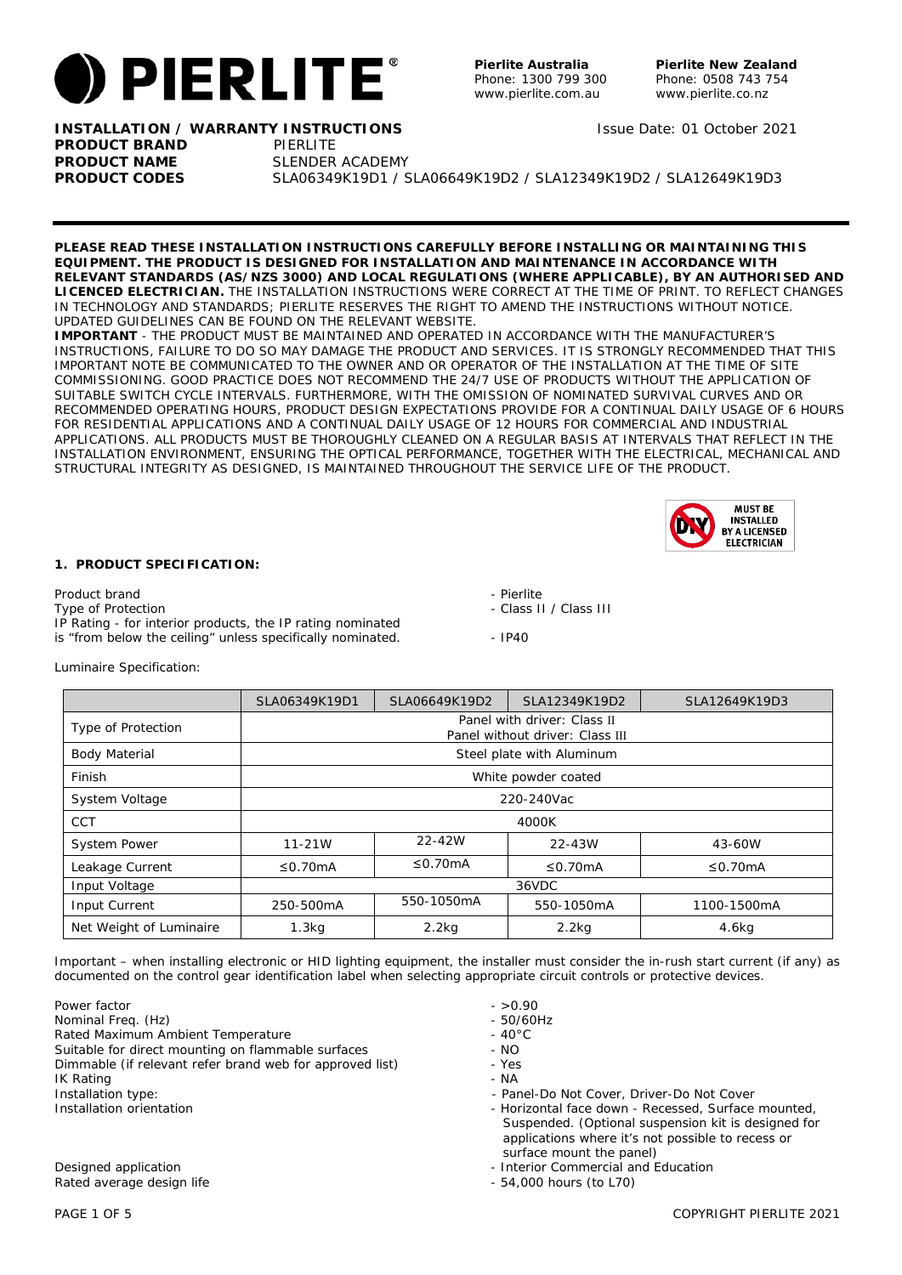

**Pierlite New Zealand** Phone: 0508 743 754 www.pierlite.co.nz

Issue Date: 01 October 2021

**INSTALLATION / WARRANTY INSTRUCTIONS PRODUCT BRAND PIERLITE** 

**PRODUCT NAME** SLENDER ACADEMY **PRODUCT CODES** SLA06349K19D1 / SLA06649K19D2 / SLA12349K19D2 / SLA12649K19D3

**PLEASE READ THESE INSTALLATION INSTRUCTIONS CAREFULLY BEFORE INSTALLING OR MAINTAINING THIS EQUIPMENT. THE PRODUCT IS DESIGNED FOR INSTALLATION AND MAINTENANCE IN ACCORDANCE WITH RELEVANT STANDARDS (AS/NZS 3000) AND LOCAL REGULATIONS (WHERE APPLICABLE), BY AN AUTHORISED AND LICENCED ELECTRICIAN.** THE INSTALLATION INSTRUCTIONS WERE CORRECT AT THE TIME OF PRINT. TO REFLECT CHANGES IN TECHNOLOGY AND STANDARDS; PIERLITE RESERVES THE RIGHT TO AMEND THE INSTRUCTIONS WITHOUT NOTICE. UPDATED GUIDELINES CAN BE FOUND ON THE RELEVANT WEBSITE.

**IMPORTANT** - THE PRODUCT MUST BE MAINTAINED AND OPERATED IN ACCORDANCE WITH THE MANUFACTURER'S INSTRUCTIONS, FAILURE TO DO SO MAY DAMAGE THE PRODUCT AND SERVICES. IT IS STRONGLY RECOMMENDED THAT THIS IMPORTANT NOTE BE COMMUNICATED TO THE OWNER AND OR OPERATOR OF THE INSTALLATION AT THE TIME OF SITE COMMISSIONING. GOOD PRACTICE DOES NOT RECOMMEND THE 24/7 USE OF PRODUCTS WITHOUT THE APPLICATION OF SUITABLE SWITCH CYCLE INTERVALS. FURTHERMORE, WITH THE OMISSION OF NOMINATED SURVIVAL CURVES AND OR RECOMMENDED OPERATING HOURS, PRODUCT DESIGN EXPECTATIONS PROVIDE FOR A CONTINUAL DAILY USAGE OF 6 HOURS FOR RESIDENTIAL APPLICATIONS AND A CONTINUAL DAILY USAGE OF 12 HOURS FOR COMMERCIAL AND INDUSTRIAL APPLICATIONS. ALL PRODUCTS MUST BE THOROUGHLY CLEANED ON A REGULAR BASIS AT INTERVALS THAT REFLECT IN THE INSTALLATION ENVIRONMENT, ENSURING THE OPTICAL PERFORMANCE, TOGETHER WITH THE ELECTRICAL, MECHANICAL AND STRUCTURAL INTEGRITY AS DESIGNED, IS MAINTAINED THROUGHOUT THE SERVICE LIFE OF THE PRODUCT.



## **1. PRODUCT SPECIFICATION:**

Product brand - Pierlite - Pierlite - Pierlite - Pierlite - Pierlite - Pierlite - Pierlite - Pierlite - Pierlite - Pierlite - Pierlite - Pierlite - Pierlite - Pierlite - Pierlite - Pierlite - Pierlite - Pierlite - Pierlite IP Rating - for interior products, the IP rating nominated is "from below the ceiling" unless specifically nominated. - IP40

- 
- Class II / Class III
- 

Luminaire Specification:

|                         | SLA06349K19D1                                                  | SLA06649K19D2             | SLA12349K19D2 | SLA12649K19D3 |  |  |
|-------------------------|----------------------------------------------------------------|---------------------------|---------------|---------------|--|--|
| Type of Protection      | Panel with driver: Class II<br>Panel without driver: Class III |                           |               |               |  |  |
| <b>Body Material</b>    |                                                                | Steel plate with Aluminum |               |               |  |  |
| Finish                  | White powder coated                                            |                           |               |               |  |  |
| System Voltage          | 220-240Vac                                                     |                           |               |               |  |  |
| <b>CCT</b>              | 4000K                                                          |                           |               |               |  |  |
| <b>System Power</b>     | $11 - 21W$                                                     | 22-42W                    | 22-43W        | 43-60W        |  |  |
| Leakage Current         | ≤0.70 $mA$                                                     | $\leq$ 0.70mA             | ≤0.70 $mA$    | $\leq$ 0.70mA |  |  |
| Input Voltage           | 36VDC                                                          |                           |               |               |  |  |
| Input Current           | 250-500mA                                                      | 550-1050mA                | 550-1050mA    | 1100-1500mA   |  |  |
| Net Weight of Luminaire | 1.3 <sub>kq</sub>                                              | $2.2$ kg                  | $2.2$ kg      | 4.6kg         |  |  |

Important – when installing electronic or HID lighting equipment, the installer must consider the in-rush start current (if any) as documented on the control gear identification label when selecting appropriate circuit controls or protective devices.

Power factor - >0.90 Nominal Freq. (Hz)<br>Rated Maximum Ambient Temperature - 10<sup>°C</sup> - 40<sup>°C</sup> Rated Maximum Ambient Temperature Suitable for direct mounting on flammable surfaces - NO Dimmable (if relevant refer brand web for approved list) - Yes IK Rating the control of the control of the control of the control of the control of the control of the control of the control of the control of the control of the control of the control of the control of the control of th Installation type:  $\blacksquare$  Panel-Do Not Cover, Driver-Do Not Cover, Priver-Do Not Cover, Priver-Do Not Cover,  $\blacksquare$ 

Designed application<br>
Rated average design life extension<br>
Rated average design life extension<br>
Designed and Education<br>
Designed and Education<br>
Designed and Education<br>
Designed and Education<br>
Designed average design life Rated average design life

- 
- 
- 
- 
- 
- 
- 
- 
- Installation orientation **Installation** Horizontal face down Recessed, Surface mounted, Suspended. (Optional suspension kit is designed for applications where it's not possible to recess or surface mount the panel)
	-
	-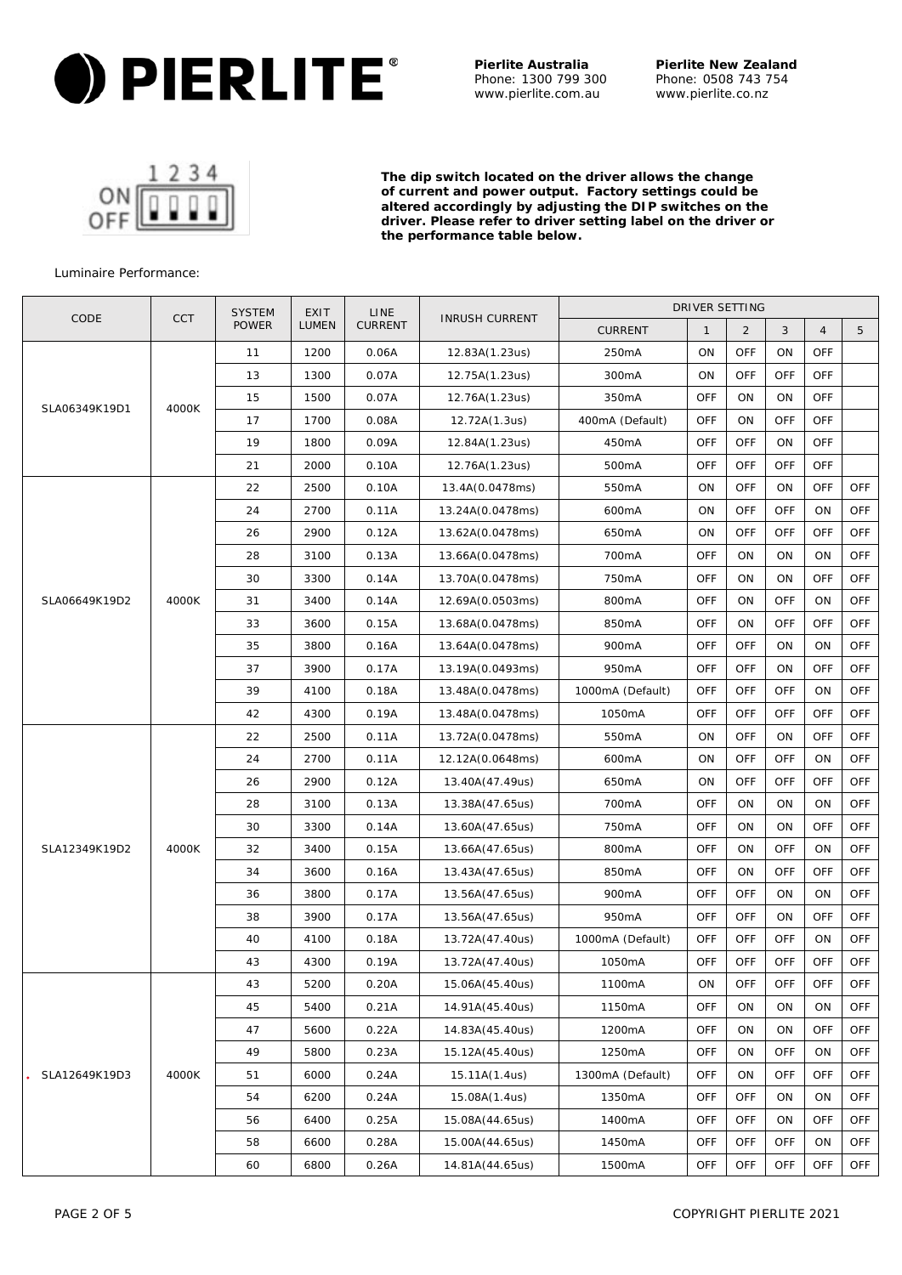

**Pierlite New Zealand** Phone: 0508 743 754 www.pierlite.co.nz

**The dip switch located on the driver allows the change of current and power output. Factory settings could be altered accordingly by adjusting the DIP switches on the driver. Please refer to driver setting label on the driver or the performance table below.**

## Luminaire Performance:

|                        |            | <b>SYSTEM</b> | <b>EXIT</b><br><b>LINE</b><br><b>INRUSH CURRENT</b> |                 |                    |                    | DRIVER SETTING |                |            |                |            |
|------------------------|------------|---------------|-----------------------------------------------------|-----------------|--------------------|--------------------|----------------|----------------|------------|----------------|------------|
| CODE                   | <b>CCT</b> | <b>POWER</b>  | LUMEN                                               | <b>CURRENT</b>  |                    | <b>CURRENT</b>     | $\mathbf{1}$   | $\overline{2}$ | 3          | $\overline{4}$ | 5          |
|                        |            | 11            | 1200                                                | 0.06A           | 12.83A(1.23us)     | 250mA              | ON             | <b>OFF</b>     | ON         | <b>OFF</b>     |            |
|                        | 13         | 1300          | 0.07A                                               | 12.75A(1.23us)  | 300 <sub>m</sub> A | ON                 | <b>OFF</b>     | <b>OFF</b>     | <b>OFF</b> |                |            |
|                        |            | 15            | 1500                                                | 0.07A           | 12.76A(1.23us)     | 350mA              | <b>OFF</b>     | ΟN             | ON         | <b>OFF</b>     |            |
| SLA06349K19D1          | 4000K      | 17            | 1700                                                | 0.08A           | 12.72A(1.3us)      | 400mA (Default)    | <b>OFF</b>     | ON             | OFF        | <b>OFF</b>     |            |
|                        |            | 19            | 1800                                                | 0.09A           | 12.84A(1.23us)     | 450mA              | <b>OFF</b>     | <b>OFF</b>     | ON         | <b>OFF</b>     |            |
|                        |            | 21            | 2000                                                | 0.10A           | 12.76A(1.23us)     | 500 <sub>m</sub> A | OFF            | <b>OFF</b>     | <b>OFF</b> | <b>OFF</b>     |            |
|                        |            | 22            | 2500                                                | 0.10A           | 13.4A(0.0478ms)    | 550mA              | ON             | <b>OFF</b>     | ON         | <b>OFF</b>     | <b>OFF</b> |
|                        |            | 24            | 2700                                                | 0.11A           | 13.24A(0.0478ms)   | 600mA              | ON             | <b>OFF</b>     | <b>OFF</b> | ON             | <b>OFF</b> |
|                        |            | 26            | 2900                                                | 0.12A           | 13.62A(0.0478ms)   | 650mA              | ON             | OFF            | <b>OFF</b> | <b>OFF</b>     | <b>OFF</b> |
|                        |            | 28            | 3100                                                | 0.13A           | 13.66A(0.0478ms)   | 700mA              | <b>OFF</b>     | ON             | ON         | ON             | <b>OFF</b> |
|                        |            | 30            | 3300                                                | 0.14A           | 13.70A(0.0478ms)   | 750mA              | <b>OFF</b>     | ON             | ON         | <b>OFF</b>     | <b>OFF</b> |
| SLA06649K19D2          | 4000K      | 31            | 3400                                                | 0.14A           | 12.69A(0.0503ms)   | 800mA              | <b>OFF</b>     | ON             | <b>OFF</b> | ON             | <b>OFF</b> |
|                        |            | 33            | 3600                                                | 0.15A           | 13.68A(0.0478ms)   | 850mA              | OFF            | ON             | <b>OFF</b> | <b>OFF</b>     | <b>OFF</b> |
|                        |            | 35            | 3800                                                | 0.16A           | 13.64A(0.0478ms)   | 900mA              | OFF            | <b>OFF</b>     | ON         | ON             | <b>OFF</b> |
|                        |            | 37            | 3900                                                | 0.17A           | 13.19A(0.0493ms)   | 950 <sub>m</sub> A | OFF            | <b>OFF</b>     | ON         | <b>OFF</b>     | <b>OFF</b> |
|                        |            | 39            | 4100                                                | 0.18A           | 13.48A(0.0478ms)   | 1000mA (Default)   | OFF            | <b>OFF</b>     | OFF        | ON             | <b>OFF</b> |
|                        |            | 42            | 4300                                                | 0.19A           | 13.48A(0.0478ms)   | 1050mA             | OFF            | <b>OFF</b>     | <b>OFF</b> | <b>OFF</b>     | <b>OFF</b> |
|                        |            | 22            | 2500                                                | 0.11A           | 13.72A(0.0478ms)   | 550 <sub>m</sub> A | ON             | OFF            | ON         | OFF            | <b>OFF</b> |
|                        |            | 24            | 2700                                                | 0.11A           | 12.12A(0.0648ms)   | 600mA              | ON             | <b>OFF</b>     | OFF        | ON             | <b>OFF</b> |
|                        |            | 26            | 2900                                                | 0.12A           | 13.40A(47.49us)    | 650mA              | ON             | <b>OFF</b>     | <b>OFF</b> | <b>OFF</b>     | <b>OFF</b> |
|                        |            | 28            | 3100                                                | 0.13A           | 13.38A(47.65us)    | 700mA              | OFF            | ON             | ON         | ON             | <b>OFF</b> |
|                        |            | 30            | 3300                                                | 0.14A           | 13.60A(47.65us)    | 750mA              | OFF            | ON             | ON         | <b>OFF</b>     | <b>OFF</b> |
| SLA12349K19D2          | 4000K      | 32            | 3400                                                | 0.15A           | 13.66A(47.65us)    | 800mA              | OFF            | ON             | <b>OFF</b> | ON             | <b>OFF</b> |
|                        |            | 34            | 3600                                                | 0.16A           | 13.43A(47.65us)    | 850mA              | OFF            | ON             | <b>OFF</b> | <b>OFF</b>     | <b>OFF</b> |
|                        |            | 36            | 3800                                                | 0.17A           | 13.56A(47.65us)    | 900mA              | OFF            | <b>OFF</b>     | ON         | ON             | <b>OFF</b> |
|                        |            | 38            | 3900                                                | 0.17A           | 13.56A(47.65us)    | 950mA              | OFF            | <b>OFF</b>     | ON         | <b>OFF</b>     | <b>OFF</b> |
|                        |            | 40            | 4100                                                | 0.18A           | 13.72A(47.40us)    | 1000mA (Default)   | OFF            | <b>OFF</b>     | OFF        | ON             | <b>OFF</b> |
|                        |            | 43            | 4300                                                | 0.19A           | 13.72A(47.40us)    | 1050mA             | <b>OFF</b>     | <b>OFF</b>     | <b>OFF</b> | <b>OFF</b>     | <b>OFF</b> |
|                        |            | 43            | 5200                                                | 0.20A           | 15.06A(45.40us)    | 1100mA             | ON             | OFF            | OFF        | OFF            | <b>OFF</b> |
| 4000K<br>SLA12649K19D3 | 45         | 5400          | 0.21A                                               | 14.91A(45.40us) | 1150mA             | OFF                | ON             | ON             | ON         | <b>OFF</b>     |            |
|                        |            | 47            | 5600                                                | 0.22A           | 14.83A(45.40us)    | 1200mA             | OFF            | ON             | ON         | <b>OFF</b>     | <b>OFF</b> |
|                        |            | 49            | 5800                                                | 0.23A           | 15.12A(45.40us)    | 1250mA             | OFF            | ΟN             | OFF        | ON             | <b>OFF</b> |
|                        |            | 51            | 6000                                                | 0.24A           | 15.11A(1.4us)      | 1300mA (Default)   | OFF            | ON             | OFF        | <b>OFF</b>     | <b>OFF</b> |
|                        |            | 54            | 6200                                                | 0.24A           | 15.08A(1.4us)      | 1350mA             | OFF            | <b>OFF</b>     | ON         | ON             | <b>OFF</b> |
|                        |            | 56            | 6400                                                | 0.25A           | 15.08A(44.65us)    | 1400mA             | OFF            | <b>OFF</b>     | ON         | <b>OFF</b>     | <b>OFF</b> |
|                        |            | 58            | 6600                                                | 0.28A           | 15.00A(44.65us)    | 1450mA             | OFF            | <b>OFF</b>     | <b>OFF</b> | ON             | <b>OFF</b> |
|                        |            | 60            | 6800                                                | 0.26A           | 14.81A(44.65us)    | 1500mA             | OFF            | OFF            | OFF        | OFF            | <b>OFF</b> |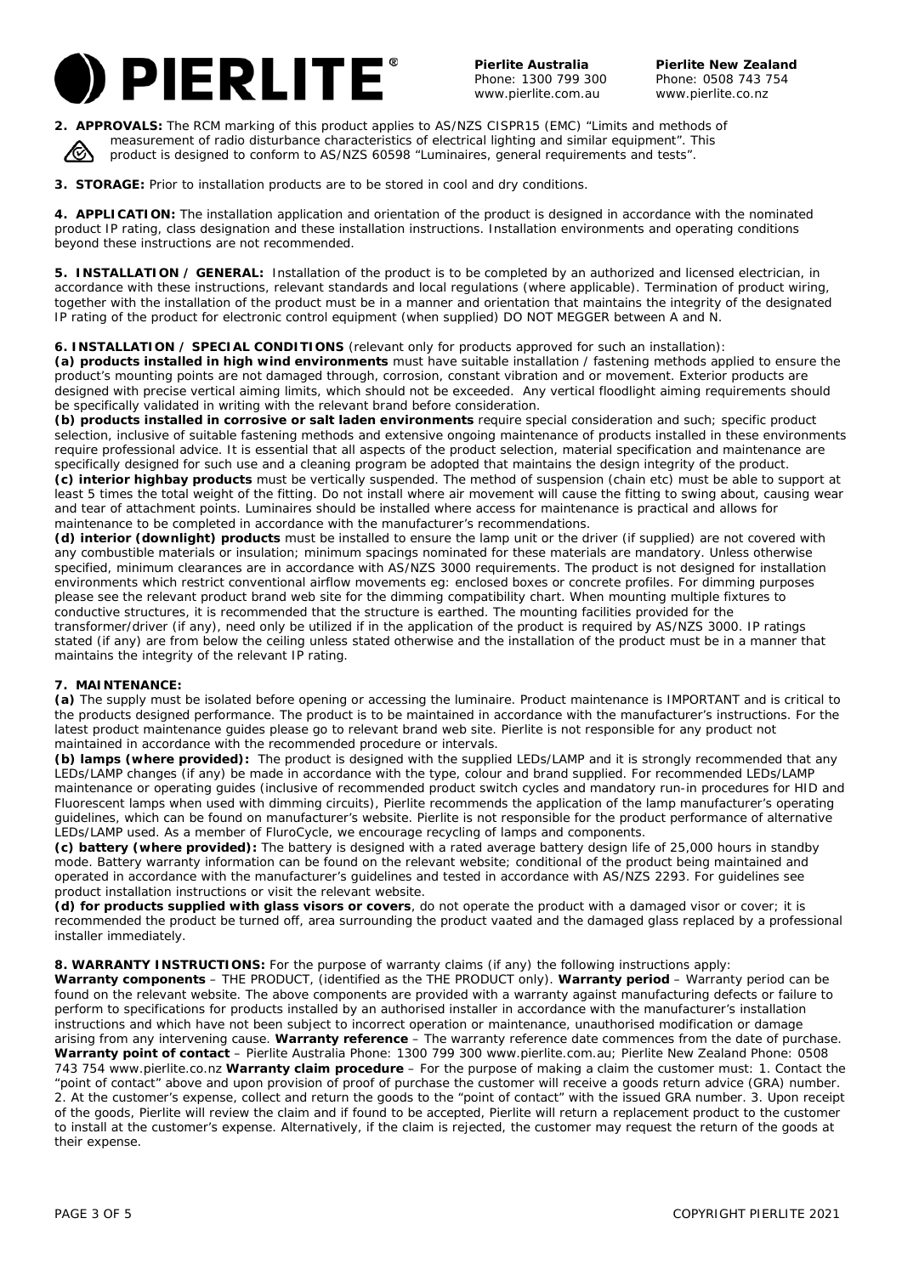

**Pierlite New Zealand** Phone: 0508 743 754 www.pierlite.co.nz

**2. APPROVALS:** The RCM marking of this product applies to AS/NZS CISPR15 (EMC) "Limits and methods of measurement of radio disturbance characteristics of electrical lighting and similar equipment". This product is designed to conform to AS/NZS 60598 "Luminaires, general requirements and tests".

**3. STORAGE:** Prior to installation products are to be stored in cool and dry conditions.

**4. APPLICATION:** The installation application and orientation of the product is designed in accordance with the nominated product IP rating, class designation and these installation instructions. Installation environments and operating conditions beyond these instructions are not recommended.

**5. INSTALLATION / GENERAL:** Installation of the product is to be completed by an authorized and licensed electrician, in accordance with these instructions, relevant standards and local regulations (where applicable). Termination of product wiring, together with the installation of the product must be in a manner and orientation that maintains the integrity of the designated IP rating of the product for electronic control equipment (when supplied) DO NOT MEGGER between A and N.

## **6. INSTALLATION / SPECIAL CONDITIONS** (relevant only for products approved for such an installation):

**(a) products installed in high wind environments** must have suitable installation / fastening methods applied to ensure the product's mounting points are not damaged through, corrosion, constant vibration and or movement. Exterior products are designed with precise vertical aiming limits, which should not be exceeded. Any vertical floodlight aiming requirements should be specifically validated in writing with the relevant brand before consideration.

**(b) products installed in corrosive or salt laden environments** require special consideration and such; specific product selection, inclusive of suitable fastening methods and extensive ongoing maintenance of products installed in these environments require professional advice. It is essential that all aspects of the product selection, material specification and maintenance are specifically designed for such use and a cleaning program be adopted that maintains the design integrity of the product. **(c) interior highbay products** must be vertically suspended. The method of suspension (chain etc) must be able to support at least 5 times the total weight of the fitting. Do not install where air movement will cause the fitting to swing about, causing wear and tear of attachment points. Luminaires should be installed where access for maintenance is practical and allows for maintenance to be completed in accordance with the manufacturer's recommendations.

**(d) interior (downlight) products** must be installed to ensure the lamp unit or the driver (if supplied) are not covered with any combustible materials or insulation; minimum spacings nominated for these materials are mandatory. Unless otherwise specified, minimum clearances are in accordance with AS/NZS 3000 requirements. The product is not designed for installation environments which restrict conventional airflow movements eg: enclosed boxes or concrete profiles. For dimming purposes please see the relevant product brand web site for the dimming compatibility chart. When mounting multiple fixtures to conductive structures, it is recommended that the structure is earthed. The mounting facilities provided for the transformer/driver (if any), need only be utilized if in the application of the product is required by AS/NZS 3000. IP ratings stated (if any) are from below the ceiling unless stated otherwise and the installation of the product must be in a manner that maintains the integrity of the relevant IP rating.

### **7. MAINTENANCE:**

**(a)** The supply must be isolated before opening or accessing the luminaire. Product maintenance is IMPORTANT and is critical to the products designed performance. The product is to be maintained in accordance with the manufacturer's instructions. For the latest product maintenance guides please go to relevant brand web site. Pierlite is not responsible for any product not maintained in accordance with the recommended procedure or intervals.

**(b) lamps (where provided):** The product is designed with the supplied LEDs/LAMP and it is strongly recommended that any LEDs/LAMP changes (if any) be made in accordance with the type, colour and brand supplied. For recommended LEDs/LAMP maintenance or operating guides (inclusive of recommended product switch cycles and mandatory run-in procedures for HID and Fluorescent lamps when used with dimming circuits), Pierlite recommends the application of the lamp manufacturer's operating guidelines, which can be found on manufacturer's website. Pierlite is not responsible for the product performance of alternative LEDs/LAMP used. As a member of FluroCycle, we encourage recycling of lamps and components.

**(c) battery (where provided):** The battery is designed with a rated average battery design life of 25,000 hours in standby mode. Battery warranty information can be found on the relevant website; conditional of the product being maintained and operated in accordance with the manufacturer's guidelines and tested in accordance with AS/NZS 2293. For guidelines see product installation instructions or visit the relevant website.

**(d) for products supplied with glass visors or covers**, do not operate the product with a damaged visor or cover; it is recommended the product be turned off, area surrounding the product vaated and the damaged glass replaced by a professional installer immediately.

**8. WARRANTY INSTRUCTIONS:** For the purpose of warranty claims (if any) the following instructions apply:

**Warranty components** – THE PRODUCT, (identified as the THE PRODUCT only). **Warranty period** – Warranty period can be found on the relevant website. The above components are provided with a warranty against manufacturing defects or failure to perform to specifications for products installed by an authorised installer in accordance with the manufacturer's installation instructions and which have not been subject to incorrect operation or maintenance, unauthorised modification or damage arising from any intervening cause. **Warranty reference** – The warranty reference date commences from the date of purchase. **Warranty point of contact** – Pierlite Australia Phone: 1300 799 300 www.pierlite.com.au; Pierlite New Zealand Phone: 0508 743 754 www.pierlite.co.nz **Warranty claim procedure** – For the purpose of making a claim the customer must: 1. Contact the "point of contact" above and upon provision of proof of purchase the customer will receive a goods return advice (GRA) number. 2. At the customer's expense, collect and return the goods to the "point of contact" with the issued GRA number. 3. Upon receipt of the goods, Pierlite will review the claim and if found to be accepted, Pierlite will return a replacement product to the customer to install at the customer's expense. Alternatively, if the claim is rejected, the customer may request the return of the goods at their expense.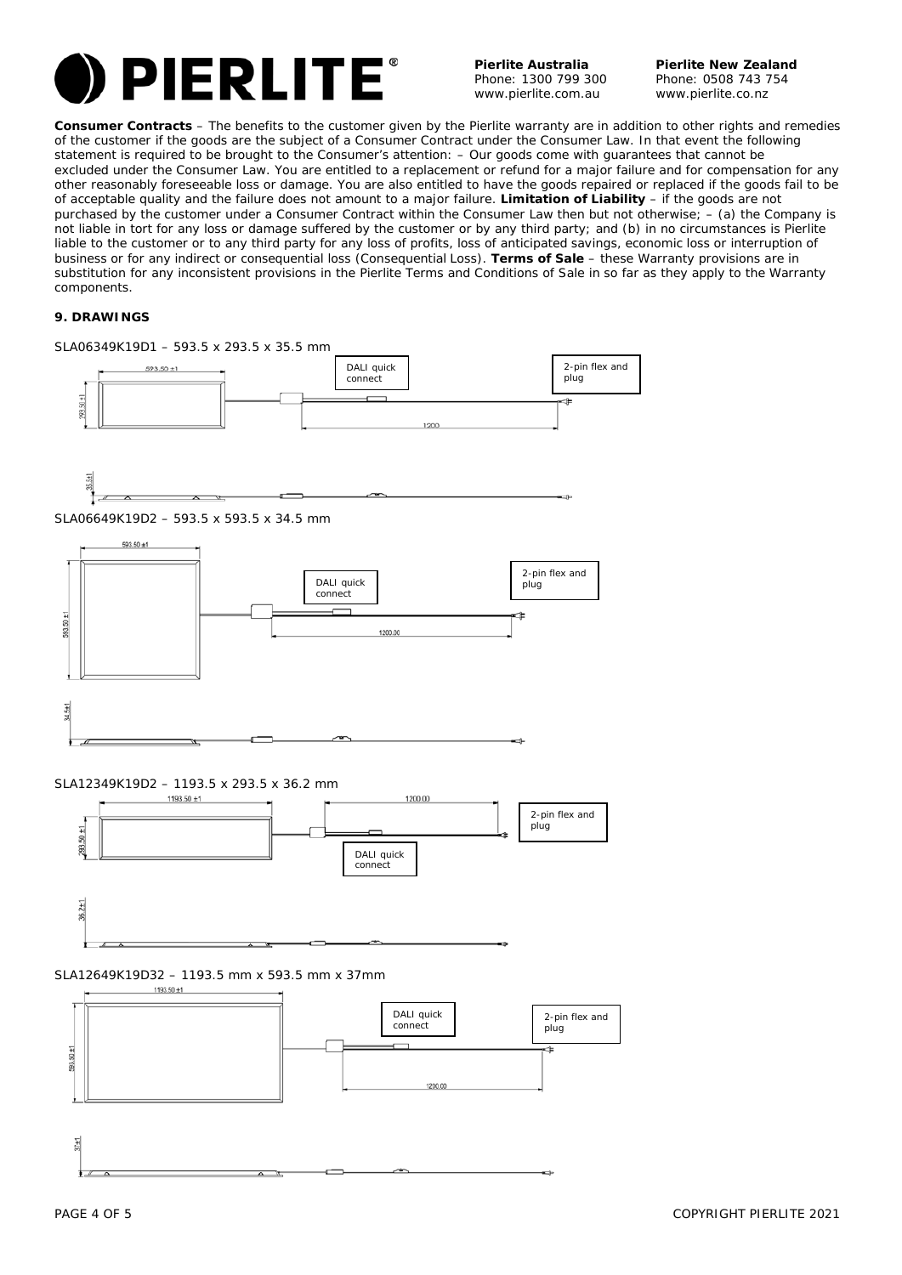

**Pierlite New Zealand** Phone: 0508 743 754 www.pierlite.co.nz

**Consumer Contracts** – The benefits to the customer given by the Pierlite warranty are in addition to other rights and remedies of the customer if the goods are the subject of a Consumer Contract under the Consumer Law. In that event the following statement is required to be brought to the Consumer's attention: – *Our goods come with guarantees that cannot be excluded under the Consumer Law. You are entitled to a replacement or refund for a major failure and for compensation for any other reasonably foreseeable loss or damage. You are also entitled to have the goods repaired or replaced if the goods fail to be of acceptable quality and the failure does not amount to a major failure.* **Limitation of Liability** – if the goods are not purchased by the customer under a Consumer Contract within the Consumer Law then but not otherwise; – (a) the Company is not liable in tort for any loss or damage suffered by the customer or by any third party; and (b) in no circumstances is Pierlite liable to the customer or to any third party for any loss of profits, loss of anticipated savings, economic loss or interruption of business or for any indirect or consequential loss (Consequential Loss). **Terms of Sale** – these Warranty provisions are in substitution for any inconsistent provisions in the Pierlite Terms and Conditions of Sale in so far as they apply to the Warranty components.

## **9. DRAWINGS**





SLA12349K19D2 – 1193.5 x 293.5 x 36.2 mm



# SLA12649K19D32 – 1193.5 mm x 593.5 mm x 37mm